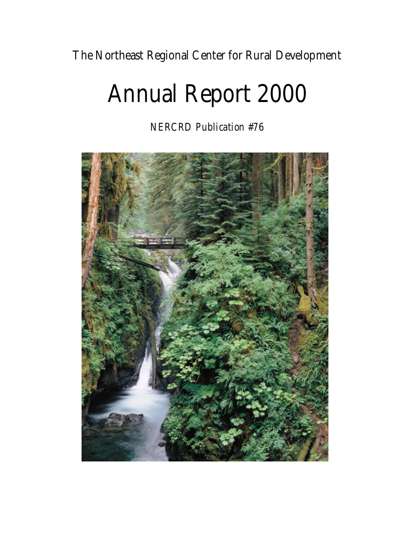**The Northeast Regional Center for Rural Development**

# **Annual Report 2000**

*NERCRD Publication #76*

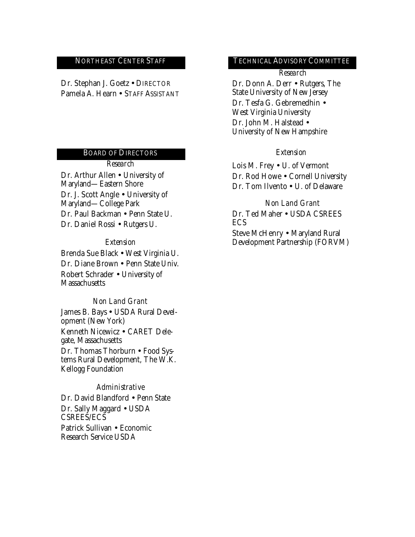**Dr. Stephan J. Goetz** • DIRECTOR **Pamela A. Hearn** • STAFF ASSISTANT

#### **BOARD OF DIRECTORS** *Extension*

*Research*

**Dr. Arthur Allen** • University of Maryland—Eastern Shore **Dr. J. Scott Angle** • University of Maryland—College Park **Dr. Paul Backman** • Penn State U. **Dr. Daniel Rossi** • Rutgers U.

#### *Extension*

**Brenda Sue Black** • West Virginia U. **Dr. Diane Brown** • Penn State Univ. **Robert Schrader** • University of **Massachusetts** 

#### *Non Land Grant*

**James B. Bays** • USDA Rural Development (New York) **Kenneth Nicewicz** • CARET Delegate, Massachusetts **Dr. Thomas Thorburn** • Food Systems Rural Development, The W.K. Kellogg Foundation

#### *Administrative*

**Dr. David Blandford** • Penn State **Dr. Sally Maggard** • USDA CSREES/ECS **Patrick Sullivan** • Economic Research Service USDA

#### **NORTHEAST CENTER STAFF TECHNICAL ADVISORY COMMITTEE**

#### *Research*

**Dr. Donn A. Derr** • Rutgers, The State University of New Jersey **Dr. Tesfa G. Gebremedhin** • West Virginia University **Dr. John M. Halstead** • University of New Hampshire

**Lois M. Frey** • U. of Vermont **Dr. Rod Howe** • Cornell University **Dr. Tom Ilvento** • U. of Delaware

*Non Land Grant* **Dr. Ted Maher** • USDA CSREES ECS

**Steve McHenry** • Maryland Rural Development Partnership (FORVM)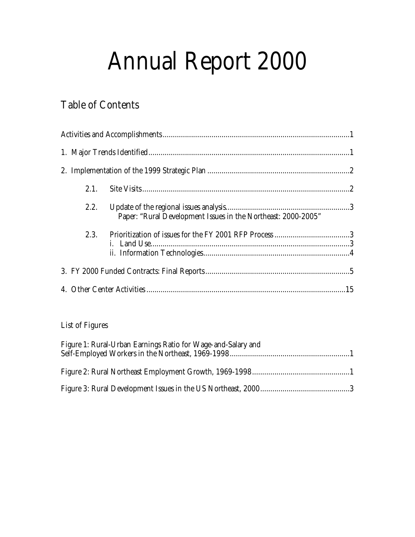# **Annual Report 2000**

# **Table of Contents**

| 2.1. |                                                               |  |
|------|---------------------------------------------------------------|--|
| 2.2. | Paper: "Rural Development Issues in the Northeast: 2000-2005" |  |
| 2.3. |                                                               |  |
|      |                                                               |  |
|      |                                                               |  |

# **List of Figures**

| Figure 1: Rural-Urban Earnings Ratio for Wage-and-Salary and |  |
|--------------------------------------------------------------|--|
|                                                              |  |
|                                                              |  |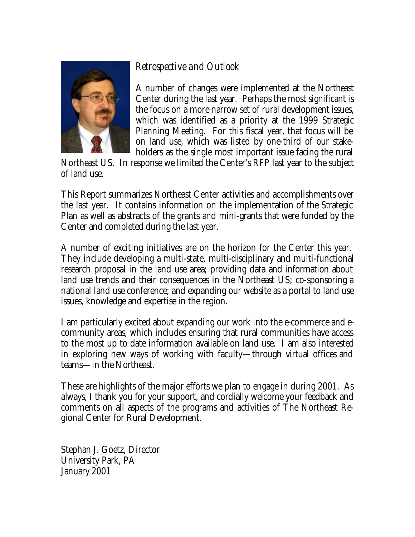# *Retrospective and Outlook*



A number of changes were implemented at the Northeast Center during the last year. Perhaps the most significant is the focus on a more narrow set of rural development issues, which was identified as a priority at the 1999 Strategic Planning Meeting. For this fiscal year, that focus will be on land use, which was listed by one-third of our stakeholders as the single most important issue facing the rural

Northeast US. In response we limited the Center's RFP last year to the subject of land use.

This Report summarizes Northeast Center activities and accomplishments over the last year. It contains information on the implementation of the Strategic Plan as well as abstracts of the grants and mini-grants that were funded by the Center and completed during the last year.

A number of exciting initiatives are on the horizon for the Center this year. They include developing a multi-state, multi-disciplinary and multi-functional research proposal in the land use area; providing data and information about land use trends and their consequences in the Northeast US; co-sponsoring a national land use conference; and expanding our website as a portal to land use issues, knowledge and expertise in the region.

I am particularly excited about expanding our work into the e-commerce and ecommunity areas, which includes ensuring that rural communities have access to the most up to date information available on land use. I am also interested in exploring new ways of working with faculty—through virtual offices and teams—in the Northeast.

These are highlights of the major efforts we plan to engage in during 2001. As always, I thank you for your support, and cordially welcome your feedback and comments on all aspects of the programs and activities of The Northeast Regional Center for Rural Development.

Stephan J. Goetz, Director University Park, PA January 2001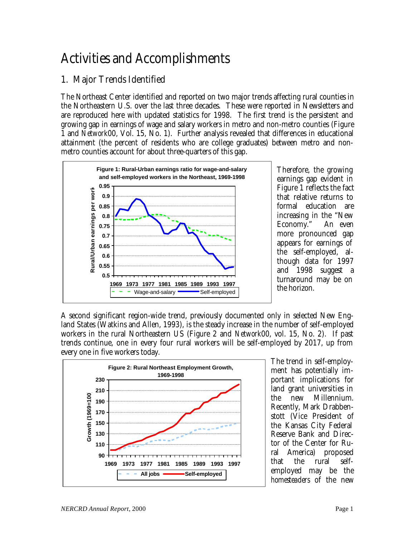# Activities and Accomplishments

# **1. Major Trends Identified**

The Northeast Center identified and reported on two major trends affecting rural counties in the Northeastern U.S. over the last three decades. These were reported in Newsletters and are reproduced here with updated statistics for 1998. The first trend is the persistent and growing gap in earnings of wage and salary workers in metro and non-metro counties (Figure 1 and *Network*00, Vol. 15, No. 1). Further analysis revealed that differences in educational attainment (the percent of residents who are college graduates) between metro and nonmetro counties account for about three-quarters of this gap.



Therefore, the growing earnings gap evident in Figure 1 reflects the fact that relative returns to formal education are increasing in the "New Economy." An even more pronounced gap appears for earnings of the self-employed, although data for 1997 and 1998 suggest a turnaround may be on the horizon.

A second significant region-wide trend, previously documented only in selected New England States (Watkins and Allen, 1993), is the steady increase in the number of self-employed workers in the rural Northeastern US (Figure 2 and *Network*00, vol. 15, No. 2). If past trends continue, one in every four rural workers will be self-employed by 2017, up from every one in five workers today.



The trend in self-employment has potentially important implications for land grant universities in the new Millennium. Recently, Mark Drabbenstott (Vice President of the Kansas City Federal Reserve Bank and Director of the Center for Ru-<br>ral America) proposed ral America) proposed that the rural selfemployed may be the *homesteaders* of the new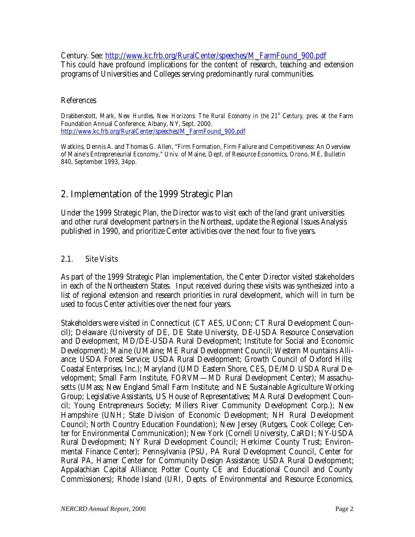Century. See: http://www.kc.frb.org/RuralCenter/speeches/M\_FarmFound\_900.pdf This could have profound implications for the content of research, teaching and extension programs of Universities and Colleges serving predominantly rural communities.

#### **References**

Drabbenstott, Mark, *New Hurdles, New Horizons: The Rural Economy in the 21<sup><sup><i>s*</sup> Century, pres. at the Farm</sup> Foundation Annual Conference, Albany, NY, Sept. 2000. http://www.kc.frb.org/RuralCenter/speeches/M\_FarmFound\_900.pdf

Watkins, Dennis A. and Thomas G. Allen, "Firm Formation, Firm Failure and Competitiveness: An Overview of Maine's Entrepreneurial Economy," Univ. of Maine, Dept. of Resource Economics, Orono, ME, Bulletin 840, September 1993, 34pp.

### **2. Implementation of the 1999 Strategic Plan**

Under the 1999 Strategic Plan, the Director was to visit each of the land grant universities and other rural development partners in the Northeast, update the Regional Issues Analysis published in 1990, and prioritize Center activities over the next four to five years.

#### **2.1. Site Visits**

As part of the 1999 Strategic Plan implementation, the Center Director visited stakeholders in each of the Northeastern States. Input received during these visits was synthesized into a list of regional extension and research priorities in rural development, which will in turn be used to focus Center activities over the next four years.

Stakeholders were visited in **Connecticut** (CT AES, UConn; CT Rural Development Council); **Delaware** (University of DE, DE State University, DE-USDA Resource Conservation and Development, MD/DE-USDA Rural Development; Institute for Social and Economic Development); **Maine** (UMaine; ME Rural Development Council; Western Mountains Alliance; USDA Forest Service; USDA Rural Development; Growth Council of Oxford Hills; Coastal Enterprises, Inc.); **Maryland** (UMD Eastern Shore, CES, DE/MD USDA Rural Development; Small Farm Institute, FORVM—MD Rural Development Center); **Massachusetts** (UMass; New England Small Farm Institute; and NE Sustainable Agriculture Working Group; Legislative Assistants, US House of Representatives; MA Rural Development Council; Young Entrepreneurs Society; Millers River Community Development Corp.); **New Hampshire** (UNH; State Division of Economic Development; NH Rural Development Council; North Country Education Foundation); **New Jersey** (Rutgers, Cook College; Center for Environmental Communication); **New York** (Cornell University, CaRDI; NY-USDA Rural Development; NY Rural Development Council; Herkimer County Trust; Environmental Finance Center); **Pennsylvania** (PSU, PA Rural Development Council, Center for Rural PA, Hamer Center for Community Design Assistance; USDA Rural Development; Appalachian Capital Alliance; Potter County CE and Educational Council and County Commissioners); **Rhode Island** (URI, Depts. of Environmental and Resource Economics,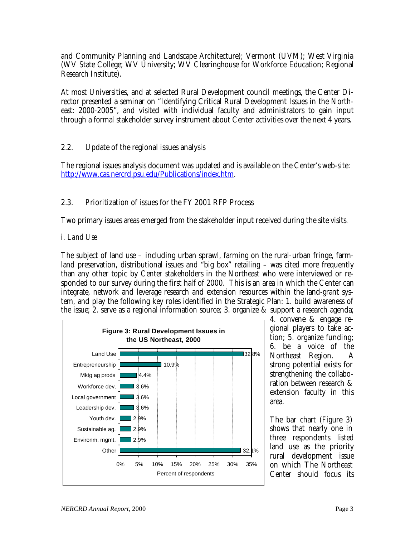and Community Planning and Landscape Architecture); **Vermont** (UVM); **West Virginia**  (WV State College; WV University; WV Clearinghouse for Workforce Education; Regional Research Institute).

At most Universities, and at selected Rural Development council meetings, the Center Director presented a seminar on "Identifying Critical Rural Development Issues in the Northeast: 2000-2005", and visited with individual faculty and administrators to gain input through a formal stakeholder survey instrument about Center activities over the next 4 years.

#### **2.2. Update of the regional issues analysis**

The regional issues analysis document was updated and is available on the Center's web-site: http://www.cas.nercrd.psu.edu/Publications/index.htm.

#### **2.3. Prioritization of issues for the FY 2001 RFP Process**

Two primary issues areas emerged from the stakeholder input received during the site visits.

#### *i. Land Use*

The subject of land use – including urban sprawl, farming on the rural-urban fringe, farmland preservation, distributional issues and "big box" retailing – was cited more frequently than any other topic by Center stakeholders in the Northeast who were interviewed or responded to our survey during the first half of 2000. This is an area in which the Center can integrate, network and leverage research and extension resources within the land-grant system, and play the following key roles identified in the Strategic Plan: 1. build awareness of the issue; 2. serve as a regional information source; 3. organize & support a research agenda;



4. convene & engage regional players to take action; 5. organize funding; 6. be a voice of the Northeast Region. A strong potential exists for strengthening the collaboration between research & extension faculty in this area.

The bar chart (Figure 3) shows that nearly one in three respondents listed land use as the priority rural development issue on which The Northeast Center should focus its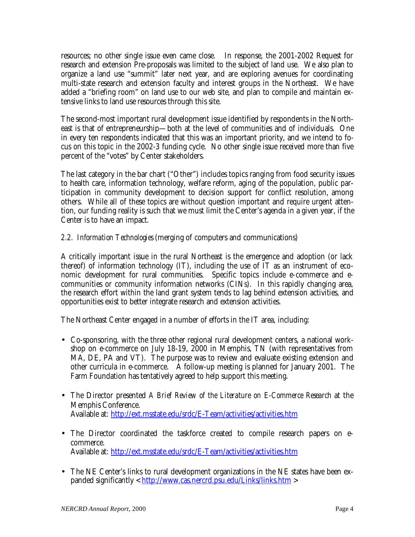resources; no other single issue even came close. In response, the 2001-2002 Request for research and extension Pre-proposals was limited to the subject of land use. We also plan to organize a land use "summit" later next year, and are exploring avenues for coordinating multi-state research and extension faculty and interest groups in the Northeast. We have added a "briefing room" on land use to our web site, and plan to compile and maintain extensive links to land use resources through this site.

The second-most important rural development issue identified by respondents in the Northeast is that of entrepreneurship—both at the level of communities and of individuals. One in every ten respondents indicated that this was an important priority, and we intend to focus on this topic in the 2002-3 funding cycle. No other single issue received more than five percent of the "votes" by Center stakeholders.

The last category in the bar chart ("Other") includes topics ranging from food security issues to health care, information technology, welfare reform, aging of the population, public participation in community development to decision support for conflict resolution, among others. While all of these topics are without question important and require urgent attention, our funding reality is such that we must limit the Center's agenda in a given year, if the Center is to have an impact.

*2.2. Information Technologies* (merging of computers and communications)

A critically important issue in the rural Northeast is the emergence and adoption (or lack thereof) of information technology (IT), including the use of IT as an instrument of economic development for rural communities. Specific topics include e-commerce and ecommunities or community information networks (CINs). In this rapidly changing area, the research effort within the land grant system tends to lag behind extension activities, and opportunities exist to better integrate research and extension activities.

The Northeast Center engaged in a number of efforts in the IT area, including:

- Co-sponsoring, with the three other regional rural development centers, a national workshop on e-commerce on July 18-19, 2000 in Memphis, TN (with representatives from MA, DE, PA and VT). The purpose was to review and evaluate existing extension and other curricula in e-commerce. A follow-up meeting is planned for January 2001. The Farm Foundation has tentatively agreed to help support this meeting.
- The Director presented *A Brief Review of the Literature on E-Commerce Research* at the Memphis Conference. Available at: http://ext.msstate.edu/srdc/E-Team/activities/activities.htm
- The Director coordinated the taskforce created to compile research papers on ecommerce. Available at: http://ext.msstate.edu/srdc/E-Team/activities/activities.htm
- The NE Center's links to rural development organizations in the NE states have been expanded significantly <  $\frac{http://www.cas.nercrd.psu.edu/Links/links.htm}$  >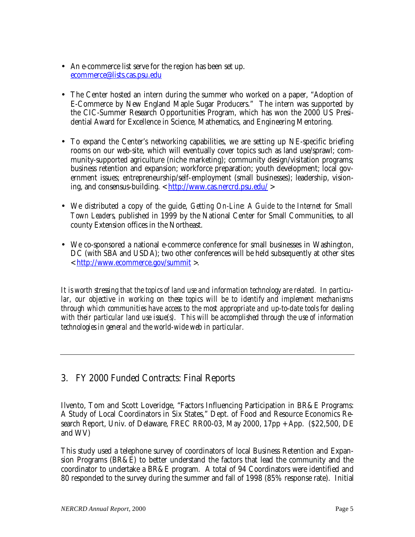- An e-commerce list serve for the region has been set up. ecommerce@lists.cas.psu.edu
- The Center hosted an intern during the summer who worked on a paper, "Adoption of E-Commerce by New England Maple Sugar Producers." The intern was supported by the CIC-Summer Research Opportunities Program, which has won the 2000 US Presidential Award for Excellence in Science, Mathematics, and Engineering Mentoring.
- To expand the Center's networking capabilities, we are setting up NE-specific briefing rooms on our web-site, which will eventually cover topics such as land use/sprawl; community-supported agriculture (niche marketing); community design/visitation programs; business retention and expansion; workforce preparation; youth development; local government issues; entrepreneurship/self-employment (small businesses); leadership, visioning, and consensus-building. < http://www.cas.nercrd.psu.edu/ >
- We distributed a copy of the guide, *Getting On-Line: A Guide to the Internet for Small Town Leaders*, published in 1999 by the National Center for Small Communities, to all county Extension offices in the Northeast.
- We co-sponsored a national e-commerce conference for small businesses in Washington, DC (with SBA and USDA); two other conferences will be held subsequently at other sites < http://www.ecommerce.gov/summit >.

*It is worth stressing that the topics of land use and information technology are related. In particular, our objective in working on these topics will be to identify and implement mechanisms through which communities have access to the most appropriate and up-to-date tools for dealing with their particular land use issue(s). This will be accomplished through the use of information technologies in general and the world-wide web in particular.*

# **3. FY 2000 Funded Contracts: Final Reports**

**Ilvento, Tom and Scott Loveridge,** "Factors Influencing Participation in BR&E Programs: A Study of Local Coordinators in Six States," Dept. of Food and Resource Economics Research Report, Univ. of Delaware, FREC RR00-03, May 2000, 17pp + App. **(\$22,500, DE and WV)**

This study used a telephone survey of coordinators of local Business Retention and Expansion Programs (BR&E) to better understand the factors that lead the community and the coordinator to undertake a BR&E program. A total of 94 Coordinators were identified and 80 responded to the survey during the summer and fall of 1998 (85% response rate). Initial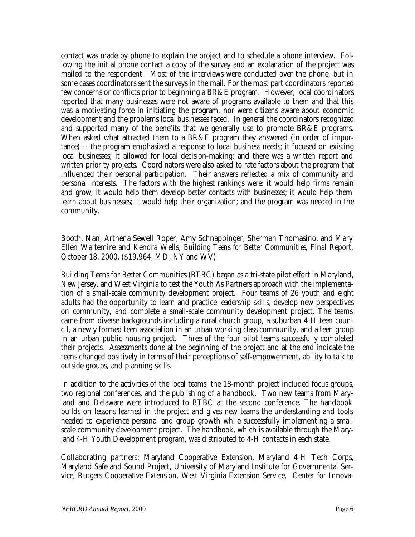contact was made by phone to explain the project and to schedule a phone interview. Following the initial phone contact a copy of the survey and an explanation of the project was mailed to the respondent. Most of the interviews were conducted over the phone, but in some cases coordinators sent the surveys in the mail. For the most part coordinators reported few concerns or conflicts prior to beginning a BR&E program. However, local coordinators reported that many businesses were not aware of programs available to them and that this was a motivating force in initiating the program, nor were citizens aware about economic development and the problems local businesses faced. In general the coordinators recognized and supported many of the benefits that we generally use to promote BR&E programs. When asked what attracted them to a BR&E program they answered (in order of importance) -- the program emphasized a response to local business needs; it focused on existing local businesses; it allowed for local decision-making; and there was a written report and written priority projects. Coordinators were also asked to rate factors about the program that influenced their personal participation. Their answers reflected a mix of community and personal interests. The factors with the highest rankings were: it would help firms remain and grow; it would help them develop better contacts with businesses; it would help them learn about businesses; it would help their organization; and the program was needed in the community.

#### **Booth, Nan, Arthena Sewell Roper, Amy Schnappinger, Sherman Thomasino, and Mary Ellen Waltemire and Kendra Wells,** *Building Teens for Better Communities*, Final Report, October 18, 2000, **(\$19,964, MD, NY and WV)**

Building Teens for Better Communities (BTBC) began as a tri-state pilot effort in Maryland, New Jersey, and West Virginia to test the Youth As Partners approach with the implementation of a small-scale community development project. Four teams of 26 youth and eight adults had the opportunity to learn and practice leadership skills, develop new perspectives on community, and complete a small-scale community development project. The teams came from diverse backgrounds including a rural church group, a suburban 4-H teen council, a newly formed teen association in an urban working class community, and a teen group in an urban public housing project. Three of the four pilot teams successfully completed their projects. Assessments done at the beginning of the project and at the end indicate the teens changed positively in terms of their perceptions of self-empowerment, ability to talk to outside groups, and planning skills.

In addition to the activities of the local teams, the 18-month project included focus groups, two regional conferences, and the publishing of a handbook. Two new teams from Maryland and Delaware were introduced to BTBC at the second conference. The handbook builds on lessons learned in the project and gives new teams the understanding and tools needed to experience personal and group growth while successfully implementing a small scale community development project. The handbook, which is available through the Maryland 4-H Youth Development program, was distributed to 4-H contacts in each state.

**Collaborating partners**: Maryland Cooperative Extension, Maryland 4-H Tech Corps, Maryland Safe and Sound Project, University of Maryland Institute for Governmental Service, Rutgers Cooperative Extension, West Virginia Extension Service, Center for Innova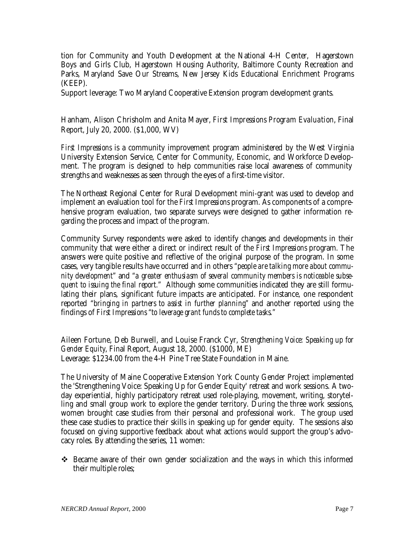tion for Community and Youth Development at the National 4-H Center, Hagerstown Boys and Girls Club, Hagerstown Housing Authority, Baltimore County Recreation and Parks, Maryland Save Our Streams, New Jersey Kids Educational Enrichment Programs (KEEP).

**Support leverage:** Two Maryland Cooperative Extension program development grants.

**Hanham, Alison Chrisholm and Anita Mayer,** *First Impressions Program Evaluation***,** Final Report, July 20, 2000. (**\$1,000, WV)**

*First Impressions* is a community improvement program administered by the West Virginia University Extension Service, Center for Community, Economic, and Workforce Development. The program is designed to help communities raise local awareness of community strengths and weaknesses as seen through the eyes of a first-time visitor.

The Northeast Regional Center for Rural Development mini-grant was used to develop and implement an evaluation tool for the *First Impressions* program. As components of a comprehensive program evaluation, two separate surveys were designed to gather information regarding the process and impact of the program.

Community Survey respondents were asked to identify changes and developments in their community that were either a direct or indirect result of the *First Impressions* program. The answers were quite positive and reflective of the original purpose of the program. In some cases, very tangible results have occurred and in others *"people are talking more about community development"* and *"a greater enthusiasm of several community members is noticeable subsequent to issuing the final report."* Although some communities indicated they are still formulating their plans, significant future impacts are anticipated. For instance, one respondent reported *"bringing in partners to assist in further planning"* and another reported using the findings of *First Impressions "to leverage grant funds to complete tasks."*

**Aileen Fortune, Deb Burwell, and Louise Franck Cyr,** *Strengthening Voice: Speaking up for Gender Equity*, Final Report, August 18, 2000. **(\$1000, ME)** Leverage: \$1234.00 from the 4-H Pine Tree State Foundation in Maine.

The University of Maine Cooperative Extension York County Gender Project implemented the 'Strengthening Voice: Speaking Up for Gender Equity' retreat and work sessions. A twoday experiential, highly participatory retreat used role-playing, movement, writing, storytelling and small group work to explore the gender territory. During the three work sessions, women brought case studies from their personal and professional work. The group used these case studies to practice their skills in speaking up for gender equity. The sessions also focused on giving supportive feedback about what actions would support the group's advocacy roles. By attending the series, 11 women:

 $\div$  Became aware of their own gender socialization and the ways in which this informed their multiple roles;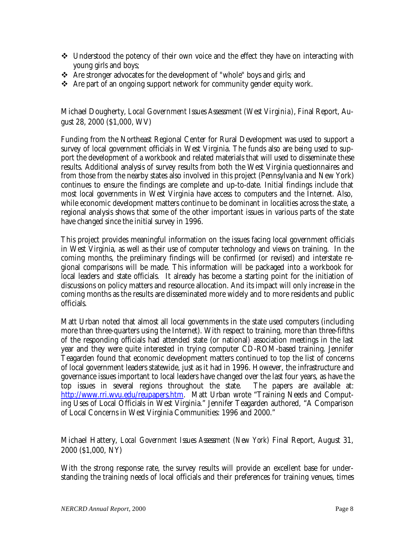- $\div$  Understood the potency of their own voice and the effect they have on interacting with young girls and boys;
- \* Are stronger advocates for the development of "whole" boys and girls; and
- $\triangleq$  Are part of an ongoing support network for community gender equity work.

#### **Michael Dougherty,** *Local Government Issues Assessment (West Virginia)***,** Final Report, August 28, 2000 **(\$1,000, WV)**

Funding from the Northeast Regional Center for Rural Development was used to support a survey of local government officials in West Virginia. The funds also are being used to support the development of a workbook and related materials that will used to disseminate these results. Additional analysis of survey results from both the West Virginia questionnaires and from those from the nearby states also involved in this project (Pennsylvania and New York) continues to ensure the findings are complete and up-to-date. Initial findings include that most local governments in West Virginia have access to computers and the Internet. Also, while economic development matters continue to be dominant in localities across the state, a regional analysis shows that some of the other important issues in various parts of the state have changed since the initial survey in 1996.

This project provides meaningful information on the issues facing local government officials in West Virginia, as well as their use of computer technology and views on training. In the coming months, the preliminary findings will be confirmed (or revised) and interstate regional comparisons will be made. This information will be packaged into a workbook for local leaders and state officials. It already has become a starting point for the initiation of discussions on policy matters and resource allocation. And its impact will only increase in the coming months as the results are disseminated more widely and to more residents and public officials.

Matt Urban noted that almost all local governments in the state used computers (including more than three-quarters using the Internet). With respect to training, more than three-fifths of the responding officials had attended state (or national) association meetings in the last year and they were quite interested in trying computer CD-ROM-based training. Jennifer Teagarden found that economic development matters continued to top the list of concerns of local government leaders statewide, just as it had in 1996. However, the infrastructure and governance issues important to local leaders have changed over the last four years, as have the top issues in several regions throughout the state. The papers are available at: http://www.rri.wvu.edu/reupapers.htm. Matt Urban wrote "Training Needs and Computing Uses of Local Officials in West Virginia." Jennifer Teagarden authored, "A Comparison of Local Concerns in West Virginia Communities: 1996 and 2000."

#### **Michael Hattery,** *Local Government Issues Assessment (New York)* Final Report, August 31, 2000 **(\$1,000, NY)**

With the strong response rate, the survey results will provide an excellent base for understanding the training needs of local officials and their preferences for training venues, times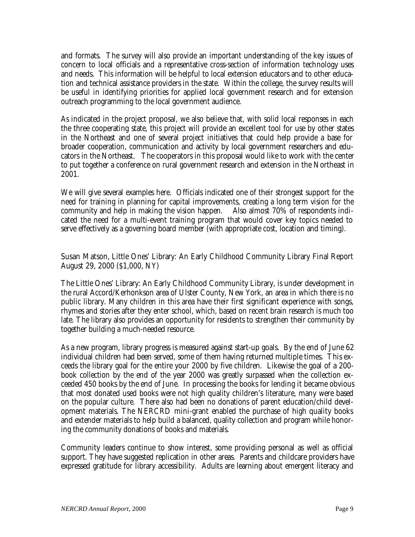and formats. The survey will also provide an important understanding of the key issues of concern to local officials and a representative cross-section of information technology uses and needs. This information will be helpful to local extension educators and to other education and technical assistance providers in the state. Within the college, the survey results will be useful in identifying priorities for applied local government research and for extension outreach programming to the local government audience.

As indicated in the project proposal, we also believe that, with solid local responses in each the three cooperating state, this project will provide an excellent tool for use by other states in the Northeast and one of several project initiatives that could help provide a base for broader cooperation, communication and activity by local government researchers and educators in the Northeast. The cooperators in this proposal would like to work with the center to put together a conference on rural government research and extension in the Northeast in 2001.

We will give several examples here. Officials indicated one of their strongest support for the need for training in planning for capital improvements, creating a long term vision for the community and help in making the vision happen. Also almost 70% of respondents indicated the need for a multi-event training program that would cover key topics needed to serve effectively as a governing board member (with appropriate cost, location and timing).

#### **Susan Matson**, Little Ones' Library: An Early Childhood Community Library **Final Report August 29, 2000** (\$1,000, NY)

The Little Ones' Library: An Early Childhood Community Library, is under development in the rural Accord/Kerhonkson area of Ulster County, New York, an area in which there is no public library. Many children in this area have their first significant experience with songs, rhymes and stories after they enter school, which, based on recent brain research is much too late. The library also provides an opportunity for residents to strengthen their community by together building a much-needed resource.

As a new program, library progress is measured against start-up goals. By the end of June 62 individual children had been served, some of them having returned multiple times. This exceeds the library goal for the entire your 2000 by five children. Likewise the goal of a 200 book collection by the end of the year 2000 was greatly surpassed when the collection exceeded 450 books by the end of June. In processing the books for lending it became obvious that most donated used books were not high quality children's literature, many were based on the popular culture. There also had been no donations of parent education/child development materials. The NERCRD mini-grant enabled the purchase of high quality books and extender materials to help build a balanced, quality collection and program while honoring the community donations of books and materials.

Community leaders continue to show interest, some providing personal as well as official support. They have suggested replication in other areas. Parents and childcare providers have expressed gratitude for library accessibility. Adults are learning about emergent literacy and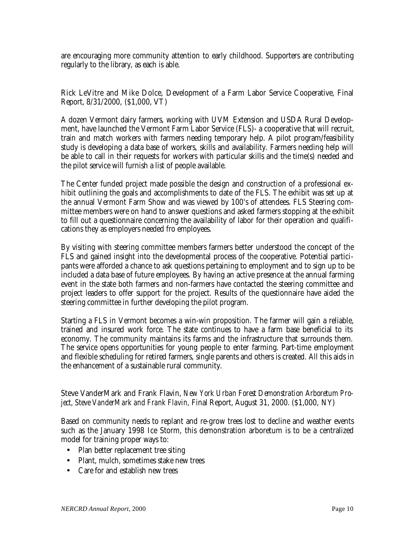are encouraging more community attention to early childhood. Supporters are contributing regularly to the library, as each is able.

**Rick LeVitre and Mike Dolce,** Development of a Farm Labor Service Cooperative, Final Report**,** 8/31/2000, **(\$1,000, VT)**

A dozen Vermont dairy farmers, working with UVM Extension and USDA Rural Development, have launched the Vermont Farm Labor Service (FLS)- a cooperative that will recruit, train and match workers with farmers needing temporary help. A pilot program/feasibility study is developing a data base of workers, skills and availability. Farmers needing help will be able to call in their requests for workers with particular skills and the time(s) needed and the pilot service will furnish a list of people available.

The Center funded project made possible the design and construction of a professional exhibit outlining the goals and accomplishments to date of the FLS. The exhibit was set up at the annual Vermont Farm Show and was viewed by 100's of attendees. FLS Steering committee members were on hand to answer questions and asked farmers stopping at the exhibit to fill out a questionnaire concerning the availability of labor for their operation and qualifications they as employers needed fro employees.

By visiting with steering committee members farmers better understood the concept of the FLS and gained insight into the developmental process of the cooperative. Potential participants were afforded a chance to ask questions pertaining to employment and to sign up to be included a data base of future employees. By having an active presence at the annual farming event in the state both farmers and non-farmers have contacted the steering committee and project leaders to offer support for the project. Results of the questionnaire have aided the steering committee in further developing the pilot program.

Starting a FLS in Vermont becomes a win-win proposition. The farmer will gain a reliable, trained and insured work force. The state continues to have a farm base beneficial to its economy. The community maintains its farms and the infrastructure that surrounds them. The service opens opportunities for young people to enter farming. Part-time employment and flexible scheduling for retired farmers, single parents and others is created. All this aids in the enhancement of a sustainable rural community.

#### **Steve VanderMark and Frank Flavin,** *New York Urban Forest Demonstration Arboretum Project, Steve VanderMark and Frank Flavin,* Final Report, August 31, 2000. **(\$1,000, NY)**

Based on community needs to replant and re-grow trees lost to decline and weather events such as the January 1998 Ice Storm, this demonstration arboretum is to be a centralized model for training proper ways to:

- Plan better replacement tree siting
- Plant, mulch, sometimes stake new trees
- Care for and establish new trees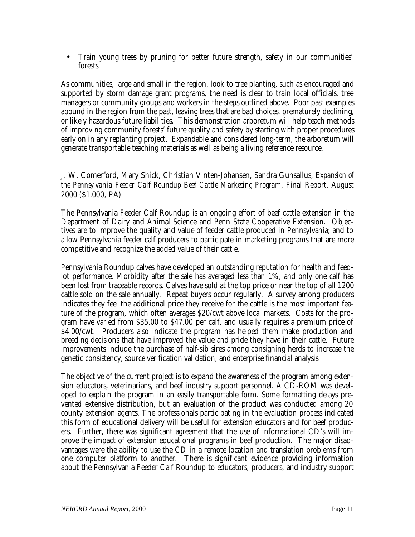• Train young trees by pruning for better future strength, safety in our communities' forests

As communities, large and small in the region, look to tree planting, such as encouraged and supported by storm damage grant programs, the need is clear to train local officials, tree managers or community groups and workers in the steps outlined above. Poor past examples abound in the region from the past, leaving trees that are bad choices, prematurely declining, or likely hazardous future liabilities. This demonstration arboretum will help teach methods of improving community forests' future quality and safety by starting with proper procedures early on in any replanting project. Expandable and considered long-term, the arboretum will generate transportable teaching materials as well as being a living reference resource.

#### **J. W. Comerford, Mary Shick, Christian Vinten-Johansen, Sandra Gunsallus,** *Expansion of the Pennsylvania Feeder Calf Roundup Beef Cattle Marketing Program*, Final Report, August 2000 (**\$1,000, PA).**

The Pennsylvania Feeder Calf Roundup is an ongoing effort of beef cattle extension in the Department of Dairy and Animal Science and Penn State Cooperative Extension. Objectives are to improve the quality and value of feeder cattle produced in Pennsylvania; and to allow Pennsylvania feeder calf producers to participate in marketing programs that are more competitive and recognize the added value of their cattle.

Pennsylvania Roundup calves have developed an outstanding reputation for health and feedlot performance. Morbidity after the sale has averaged less than 1%, and only one calf has been lost from traceable records. Calves have sold at the top price or near the top of all 1200 cattle sold on the sale annually. Repeat buyers occur regularly. A survey among producers indicates they feel the additional price they receive for the cattle is the most important feature of the program, which often averages \$20/cwt above local markets. Costs for the program have varied from \$35.00 to \$47.00 per calf, and usually requires a premium price of \$4.00/cwt. Producers also indicate the program has helped them make production and breeding decisions that have improved the value and pride they have in their cattle. Future improvements include the purchase of half-sib sires among consigning herds to increase the genetic consistency, source verification validation, and enterprise financial analysis.

The objective of the current project is to expand the awareness of the program among extension educators, veterinarians, and beef industry support personnel. A CD-ROM was developed to explain the program in an easily transportable form. Some formatting delays prevented extensive distribution, but an evaluation of the product was conducted among 20 county extension agents. The professionals participating in the evaluation process indicated this form of educational delivery will be useful for extension educators and for beef producers. Further, there was significant agreement that the use of informational CD's will improve the impact of extension educational programs in beef production. The major disadvantages were the ability to use the CD in a remote location and translation problems from one computer platform to another. There is significant evidence providing information about the Pennsylvania Feeder Calf Roundup to educators, producers, and industry support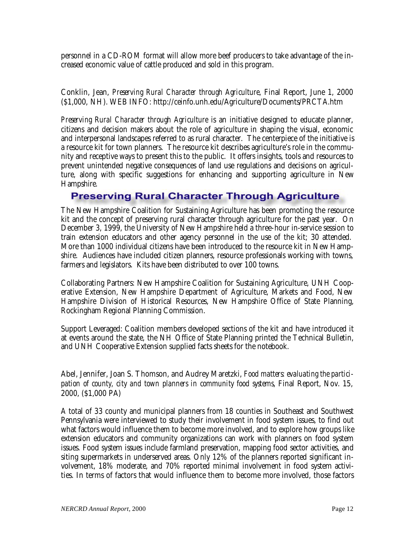personnel in a CD-ROM format will allow more beef producers to take advantage of the increased economic value of cattle produced and sold in this program.

**Conklin, Jean,** *Preserving Rural Character through Agriculture*, Final Report, June 1, 2000 **(\$1,000, NH).** WEB INFO: http://ceinfo.unh.edu/Agriculture/Documents/PRCTA.htm

*Preserving Rural Character through Agriculture* is an initiative designed to educate planner, citizens and decision makers about the role of agriculture in shaping the visual, economic and interpersonal landscapes referred to as rural character. The centerpiece of the initiative is a resource kit for town planners. The resource kit describes agriculture's role in the community and receptive ways to present this to the public. It offers insights, tools and resources to prevent unintended negative consequences of land use regulations and decisions on agriculture, along with specific suggestions for enhancing and supporting agriculture in New Hampshire.

### **Preserving Rural Character Through Agriculture**

The New Hampshire Coalition for Sustaining Agriculture has been promoting the resource kit and the concept of preserving rural character through agriculture for the past year. On December 3, 1999, the University of New Hampshire held a three-hour in-service session to train extension educators and other agency personnel in the use of the kit; 30 attended. More than 1000 individual citizens have been introduced to the resource kit in New Hampshire. Audiences have included citizen planners, resource professionals working with towns, farmers and legislators. Kits have been distributed to over 100 towns.

Collaborating Partners: New Hampshire Coalition for Sustaining Agriculture, UNH Cooperative Extension, New Hampshire Department of Agriculture, Markets and Food, New Hampshire Division of Historical Resources, New Hampshire Office of State Planning, Rockingham Regional Planning Commission.

Support Leveraged: Coalition members developed sections of the kit and have introduced it at events around the state, the NH Office of State Planning printed the Technical Bulletin, and UNH Cooperative Extension supplied facts sheets for the notebook.

**Abel, Jennifer, Joan S. Thomson, and Audrey Maretzki,** *Food matters: evaluating the participation of county, city and town planners in community food systems*, Final Report, Nov. 15, 2000, **(\$1,000 PA)**

A total of 33 county and municipal planners from 18 counties in Southeast and Southwest Pennsylvania were interviewed to study their involvement in food system issues, to find out what factors would influence them to become more involved, and to explore how groups like extension educators and community organizations can work with planners on food system issues. Food system issues include farmland preservation, mapping food sector activities, and siting supermarkets in underserved areas. Only 12% of the planners reported significant involvement, 18% moderate, and 70% reported minimal involvement in food system activities. In terms of factors that would influence them to become more involved, those factors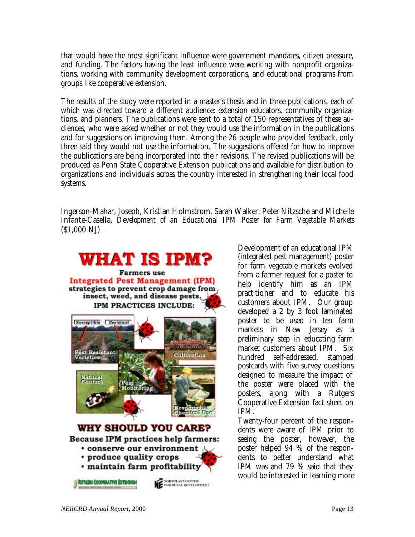that would have the most significant influence were government mandates, citizen pressure, and funding. The factors having the least influence were working with nonprofit organizations, working with community development corporations, and educational programs from groups like cooperative extension.

The results of the study were reported in a master's thesis and in three publications, each of which was directed toward a different audience: extension educators, community organizations, and planners. The publications were sent to a total of 150 representatives of these audiences, who were asked whether or not they would use the information in the publications and for suggestions on improving them. Among the 26 people who provided feedback, only three said they would not use the information. The suggestions offered for how to improve the publications are being incorporated into their revisions. The revised publications will be produced as Penn State Cooperative Extension publications and available for distribution to organizations and individuals across the country interested in strengthening their local food systems.

**Ingerson-Mahar, Joseph, Kristian Holmstrom, Sarah Walker, Peter Nitzsche and Michelle Infante-Casella,** *Development of an Educational IPM Poster for Farm Vegetable Markets* **(\$1,000 NJ)**



Development of an educational IPM (integrated pest management) poster for farm vegetable markets evolved from a farmer request for a poster to help identify him as an IPM practitioner and to educate his customers about IPM. Our group developed a 2 by 3 foot laminated poster to be used in ten farm markets in New Jersey as a preliminary step in educating farm market customers about IPM. Six hundred self-addressed, stamped postcards with five survey questions designed to measure the impact of the poster were placed with the posters, along with a Rutgers Cooperative Extension fact sheet on IPM.

Twenty-four percent of the respondents were aware of IPM prior to seeing the poster, however, the poster helped 94 % of the respondents to better understand what IPM was and 79 % said that they would be interested in learning more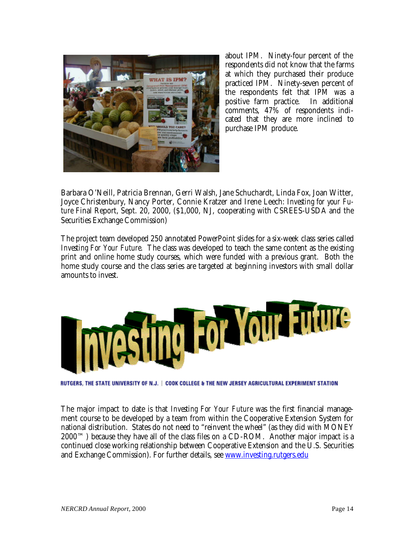

about IPM. Ninety-four percent of the respondents did not know that the farms at which they purchased their produce practiced IPM. Ninety-seven percent of the respondents felt that IPM was a positive farm practice. In additional comments, 47% of respondents indicated that they are more inclined to purchase IPM produce.

**Barbara O'Neill, Patricia Brennan, Gerri Walsh, Jane Schuchardt, Linda Fox, Joan Witter, Joyce Christenbury, Nancy Porter, Connie Kratzer and Irene Leech:** *Investing for your Future* Final Report, Sept. 20, 2000, (\$1,000, NJ**,** cooperating with CSREES-USDA and the Securities Exchange Commission)

The project team developed 250 annotated PowerPoint slides for a six-week class series called *Investing For Your Future.* The class was developed to teach the same content as the existing print and online home study courses, which were funded with a previous grant. Both the home study course and the class series are targeted at beginning investors with small dollar amounts to invest.



RUTGERS. THE STATE UNIVERSITY OF N.J. | COOK COLLEGE & THE NEW JERSEY AGRICULTURAL EXPERIMENT STATION

The major impact to date is that *Investing For Your Future* was the first financial management course to be developed by a team from within the Cooperative Extension System for national distribution. States do not need to "reinvent the wheel" (as they did with MONEY  $2000<sup>TM</sup>$  because they have all of the class files on a CD-ROM. Another major impact is a continued close working relationship between Cooperative Extension and the U.S. Securities and Exchange Commission). For further details, see www.investing.rutgers.edu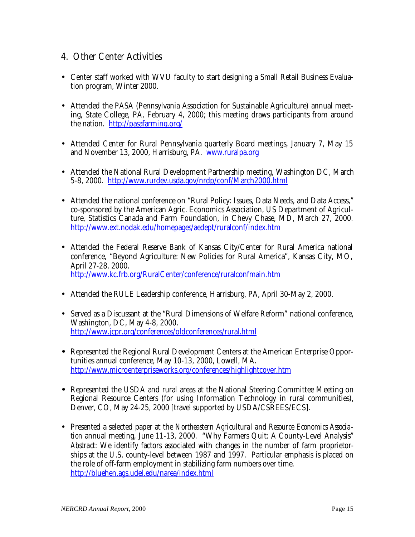## **4. Other Center Activities**

- Center staff worked with WVU faculty to start designing a Small Retail Business Evaluation program, Winter 2000.
- Attended the PASA (Pennsylvania Association for Sustainable Agriculture) annual meeting, State College, PA, February 4, 2000; this meeting draws participants from around the nation. http://pasafarming.org/
- Attended Center for Rural Pennsylvania quarterly Board meetings, January 7, May 15 and November 13, 2000, Harrisburg, PA. www.ruralpa.org
- Attended the National Rural Development Partnership meeting, Washington DC, March 5-8, 2000. http://www.rurdev.usda.gov/nrdp/conf/March2000.html
- Attended the national conference on "Rural Policy: Issues, Data Needs, and Data Access," co-sponsored by the American Agric. Economics Association, US Department of Agriculture, Statistics Canada and Farm Foundation, in Chevy Chase, MD, March 27, 2000. http://www.ext.nodak.edu/homepages/aedept/ruralconf/index.htm
- Attended the Federal Reserve Bank of Kansas City/Center for Rural America national conference, "Beyond Agriculture: New Policies for Rural America", Kansas City, MO, April 27-28, 2000. http://www.kc.frb.org/RuralCenter/conference/ruralconfmain.htm
- Attended the RULE Leadership conference, Harrisburg, PA, April 30-May 2, 2000.
- Served as a Discussant at the "Rural Dimensions of Welfare Reform" national conference, Washington, DC, May 4-8, 2000. http://www.jcpr.org/conferences/oldconferences/rural.html
- **·** Represented the Regional Rural Development Centers at the American Enterprise Opportunities annual conference, May 10-13, 2000, Lowell, MA. http://www.microenterpriseworks.org/conferences/highlightcover.htm
- **·** Represented the USDA and rural areas at the National Steering Committee Meeting on Regional Resource Centers (for using Information Technology in rural communities), Denver, CO, May 24-25, 2000 [travel supported by USDA/CSREES/ECS].
- Presented a selected paper at the *Northeastern Agricultural and Resource Economics Association* annual meeting, June 11-13, 2000. "Why Farmers Quit: A County-Level Analysis" *Abstract*: We identify factors associated with changes in the number of farm proprietorships at the U.S. county-level between 1987 and 1997. Particular emphasis is placed on the role of off-farm employment in stabilizing farm numbers over time. http://bluehen.ags.udel.edu/narea/index.html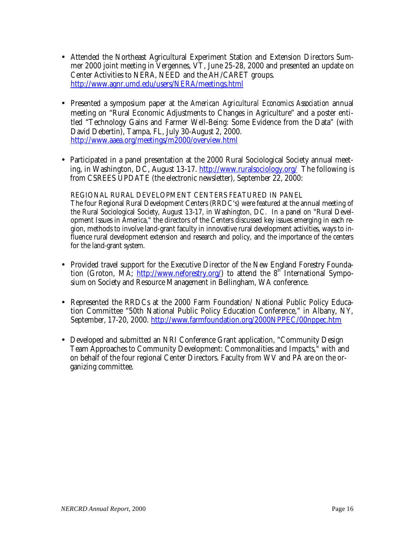- Attended the Northeast Agricultural Experiment Station and Extension Directors Summer 2000 joint meeting in Vergennes, VT, June 25-28, 2000 and presented an update on Center Activities to NERA, NEED and the AH/CARET groups. http://www.agnr.umd.edu/users/NERA/meetings.html
- Presented a symposium paper at the *American Agricultural Economics Association* annual meeting on "Rural Economic Adjustments to Changes in Agriculture" and a poster entitled "Technology Gains and Farmer Well-Being: Some Evidence from the Data" (with David Debertin), Tampa, FL, July 30-August 2, 2000. http://www.aaea.org/meetings/m2000/overview.html
- Participated in a panel presentation at the 2000 Rural Sociological Society annual meeting, in Washington, DC, August 13-17. http://www.ruralsociology.org/ The following is from CSREES UPDATE (the electronic newsletter), September 22, 2000:

REGIONAL RURAL DEVELOPMENT CENTERS FEATURED IN PANEL The four Regional Rural Development Centers (RRDC's) were featured at the annual meeting of the Rural Sociological Society, August 13-17, in Washington, DC. In a panel on "Rural Development Issues in America," the directors of the Centers discussed key issues emerging in each region, methods to involve land-grant faculty in innovative rural development activities, ways to influence rural development extension and research and policy, and the importance of the centers for the land-grant system.

- Provided travel support for the Executive Director of the New England Forestry Foundation (Groton, MA; http://www.neforestry.org/) to attend the  $8<sup>th</sup>$  International Symposium on Society and Resource Management in Bellingham, WA conference.
- Represented the RRDCs at the 2000 Farm Foundation/ National Public Policy Education Committee "50th National Public Policy Education Conference," in Albany, NY, September, 17-20, 2000. http://www.farmfoundation.org/2000NPPEC/00nppec.htm
- Developed and submitted an NRI Conference Grant application, "Community Design Team Approaches to Community Development: Commonalities and Impacts," with and on behalf of the four regional Center Directors. Faculty from WV and PA are on the organizing committee.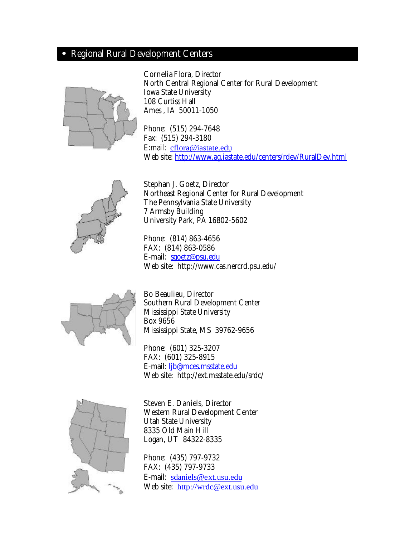# **· Regional Rural Development Centers**



**Cornelia Flora**, Director North Central Regional Center for Rural Development Iowa State University 108 Curtiss Hall Ames , IA 50011-1050

Phone: (515) 294-7648 Fax: (515) 294-3180 E:mail: cflora@iastate.edu Web site: http://www.ag.iastate.edu/centers/rdev/RuralDev.html



**Stephan J. Goetz**, Director Northeast Regional Center for Rural Development The Pennsylvania State University 7 Armsby Building University Park, PA 16802-5602

Phone: (814) 863-4656 FAX: (814) 863-0586 E-mail: sgoetz@psu.edu Web site: http://www.cas.nercrd.psu.edu/



**Bo Beaulieu**, Director Southern Rural Development Center Mississippi State University Box 9656 Mississippi State, MS 39762-9656

Phone: (601) 325-3207 FAX: (601) 325-8915 E-mail: ljb@mces.msstate.edu Web site: http://ext.msstate.edu/srdc/



**Steven E. Daniels,** Director Western Rural Development Center Utah State University 8335 Old Main Hill Logan, UT 84322-8335

Phone: (435) 797-9732 FAX: (435) 797-9733 E-mail: sdaniels@ext.usu.edu Web site: http://wrdc@ext.usu.edu